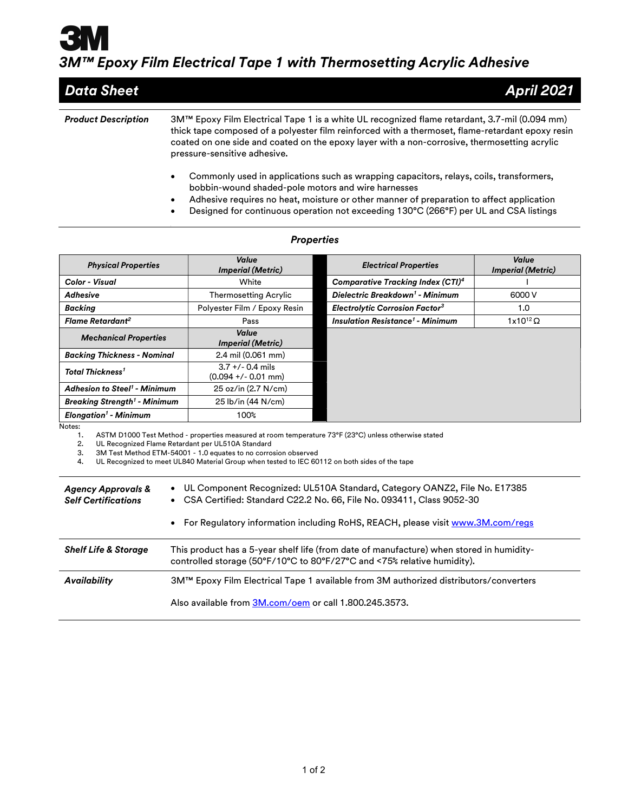## 3M™ Epoxy Film Electrical Tape 1 with Thermosetting Acrylic Adhesive

| <b>Data Sheet</b>          | <b>April 2021</b>                                                                                                                                                                                                                |
|----------------------------|----------------------------------------------------------------------------------------------------------------------------------------------------------------------------------------------------------------------------------|
| <b>Product Description</b> | 3M™ Epoxy Film Electrical Tape 1 is a white UL recognized flame retardant, 3.7-mil (0.094 mm)                                                                                                                                    |
|                            | thick tape composed of a polyester film reinforced with a thermoset, flame-retardant epoxy resin<br>coated on one side and coated on the epoxy layer with a non-corrosive, thermosetting acrylic<br>pressure-sensitive adhesive. |
|                            | Commonly used in applications such as wrapping capacitors, relays, coils, transformers,<br>٠<br>bobbin-wound shaded-pole motors and wire harnesses                                                                               |

- Adhesive requires no heat, moisture or other manner of preparation to affect application
- Designed for continuous operation not exceeding 130°C (266°F) per UL and CSA listings

| <b>Physical Properties</b>                     | Value<br><b>Imperial (Metric)</b>           | <b>Electrical Properties</b>                       | Value<br><b>Imperial (Metric)</b> |
|------------------------------------------------|---------------------------------------------|----------------------------------------------------|-----------------------------------|
| <b>Color - Visual</b>                          | White                                       | <b>Comparative Tracking Index (CTI)4</b>           |                                   |
| <b>Adhesive</b>                                | <b>Thermosetting Acrylic</b>                | Dielectric Breakdown <sup>1</sup> - Minimum        | 6000 V                            |
| <b>Backing</b>                                 | Polyester Film / Epoxy Resin                | <b>Electrolytic Corrosion Factor<sup>3</sup></b>   | 1.0                               |
| Flame Retardant <sup>2</sup>                   | Pass                                        | <b>Insulation Resistance<sup>1</sup> - Minimum</b> | $1x10^{12}$ $\Omega$              |
| <b>Mechanical Properties</b>                   | Value<br><b>Imperial (Metric)</b>           |                                                    |                                   |
| <b>Backing Thickness - Nominal</b>             | 2.4 mil (0.061 mm)                          |                                                    |                                   |
| Total Thickness <sup>1</sup>                   | $3.7 +/- 0.4$ mils<br>$(0.094 +/- 0.01$ mm) |                                                    |                                   |
| <b>Adhesion to Steel<sup>1</sup> - Minimum</b> | 25 oz/in (2.7 N/cm)                         |                                                    |                                   |
| <b>Breaking Strength<sup>1</sup> - Minimum</b> | 25 lb/in (44 N/cm)                          |                                                    |                                   |
| <b>Elongation<sup>1</sup></b> - Minimum        | 100%                                        |                                                    |                                   |

## **Properties**

Notes:<br>1.

1. ASTM D1000 Test Method - properties measured at room temperature 73°F (23°C) unless otherwise stated<br>2. UL Recognized Flame Retardant per UL510A Standard

2. UL Recognized Flame Retardant per UL510A Standard<br>3. 3M Test Method ETM-54001 - 1.0 equates to no corro 3. 3M Test Method ETM-54001 - 1.0 equates to no corrosion observed

4. UL Recognized to meet UL840 Material Group when tested to IEC 60112 on both sides of the tape

| <b>Agency Approvals &amp;</b><br><b>Self Certifications</b> | • UL Component Recognized: UL510A Standard, Category OANZ2, File No. E17385<br>• CSA Certified: Standard C22.2 No. 66, File No. 093411, Class 9052-30<br>• For Regulatory information including RoHS, REACH, please visit www.3M.com/regs |
|-------------------------------------------------------------|-------------------------------------------------------------------------------------------------------------------------------------------------------------------------------------------------------------------------------------------|
| <b>Shelf Life &amp; Storage</b>                             | This product has a 5-year shelf life (from date of manufacture) when stored in humidity-<br>controlled storage (50°F/10°C to 80°F/27°C and <75% relative humidity).                                                                       |
| Availability                                                | 3M™ Epoxy Film Electrical Tape 1 available from 3M authorized distributors/converters                                                                                                                                                     |
|                                                             | Also available from 3M.com/oem or call 1.800.245.3573.                                                                                                                                                                                    |